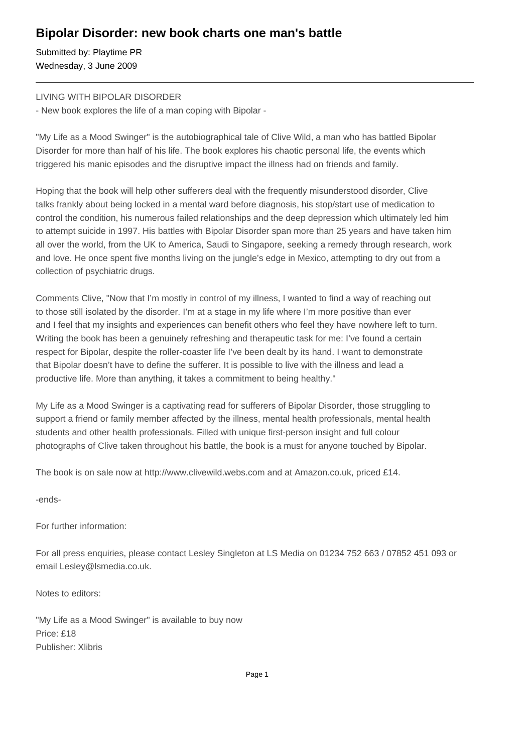## **Bipolar Disorder: new book charts one man's battle**

Submitted by: Playtime PR Wednesday, 3 June 2009

### LIVING WITH BIPOLAR DISORDER

- New book explores the life of a man coping with Bipolar -

"My Life as a Mood Swinger" is the autobiographical tale of Clive Wild, a man who has battled Bipolar Disorder for more than half of his life. The book explores his chaotic personal life, the events which triggered his manic episodes and the disruptive impact the illness had on friends and family.

Hoping that the book will help other sufferers deal with the frequently misunderstood disorder, Clive talks frankly about being locked in a mental ward before diagnosis, his stop/start use of medication to control the condition, his numerous failed relationships and the deep depression which ultimately led him to attempt suicide in 1997. His battles with Bipolar Disorder span more than 25 years and have taken him all over the world, from the UK to America, Saudi to Singapore, seeking a remedy through research, work and love. He once spent five months living on the jungle's edge in Mexico, attempting to dry out from a collection of psychiatric drugs.

Comments Clive, "Now that I'm mostly in control of my illness, I wanted to find a way of reaching out to those still isolated by the disorder. I'm at a stage in my life where I'm more positive than ever and I feel that my insights and experiences can benefit others who feel they have nowhere left to turn. Writing the book has been a genuinely refreshing and therapeutic task for me: I've found a certain respect for Bipolar, despite the roller-coaster life I've been dealt by its hand. I want to demonstrate that Bipolar doesn't have to define the sufferer. It is possible to live with the illness and lead a productive life. More than anything, it takes a commitment to being healthy."

My Life as a Mood Swinger is a captivating read for sufferers of Bipolar Disorder, those struggling to support a friend or family member affected by the illness, mental health professionals, mental health students and other health professionals. Filled with unique first-person insight and full colour photographs of Clive taken throughout his battle, the book is a must for anyone touched by Bipolar.

The book is on sale now at http://www.clivewild.webs.com and at Amazon.co.uk, priced £14.

-ends-

For further information:

For all press enquiries, please contact Lesley Singleton at LS Media on 01234 752 663 / 07852 451 093 or email Lesley@lsmedia.co.uk.

Notes to editors:

"My Life as a Mood Swinger" is available to buy now Price: £18 Publisher: Xlibris